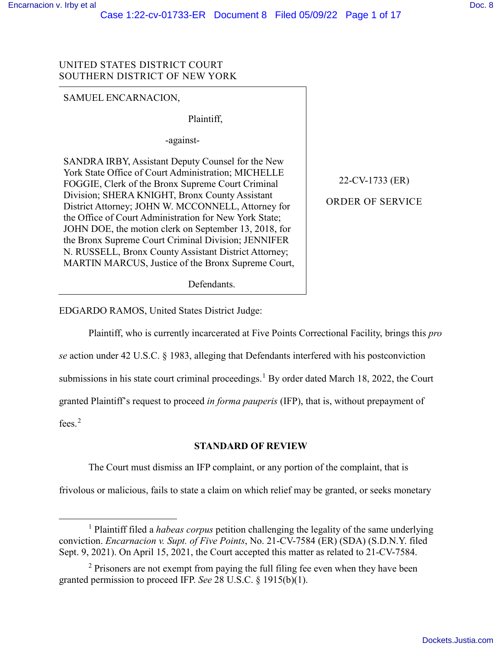-

### UNITED STATES DISTRICT COURT SOUTHERN DISTRICT OF NEW YORK

SAMUEL ENCARNACION,

Plaintiff,

-against-

SANDRA IRBY, Assistant Deputy Counsel for the New York State Office of Court Administration; MICHELLE FOGGIE, Clerk of the Bronx Supreme Court Criminal Division; SHERA KNIGHT, Bronx County Assistant District Attorney; JOHN W. MCCONNELL, Attorney for the Office of Court Administration for New York State; JOHN DOE, the motion clerk on September 13, 2018, for the Bronx Supreme Court Criminal Division; JENNIFER N. RUSSELL, Bronx County Assistant District Attorney; MARTIN MARCUS, Justice of the Bronx Supreme Court,

Defendants.

EDGARDO RAMOS, United States District Judge:

Plaintiff, who is currently incarcerated at Five Points Correctional Facility, brings this *pro se* action under 42 U.S.C. § 1983, alleging that Defendants interfered with his postconviction submissions in his state court criminal proceedings.<sup>1</sup> By order dated March 18, 2022, the Court granted Plaintiff's request to proceed *in forma pauperis* (IFP), that is, without prepayment of fees. 2

#### **STANDARD OF REVIEW**

The Court must dismiss an IFP complaint, or any portion of the complaint, that is

frivolous or malicious, fails to state a claim on which relief may be granted, or seeks monetary

22-CV-1733 (ER) ORDER OF SERVICE

<sup>1</sup> Plaintiff filed a *habeas corpus* petition challenging the legality of the same underlying conviction. *Encarnacion v. Supt. of Five Points*, No. 21-CV-7584 (ER) (SDA) (S.D.N.Y. filed Sept. 9, 2021). On April 15, 2021, the Court accepted this matter as related to 21-CV-7584.

<sup>&</sup>lt;sup>2</sup> Prisoners are not exempt from paying the full filing fee even when they have been granted permission to proceed IFP. *See* 28 U.S.C. § 1915(b)(1).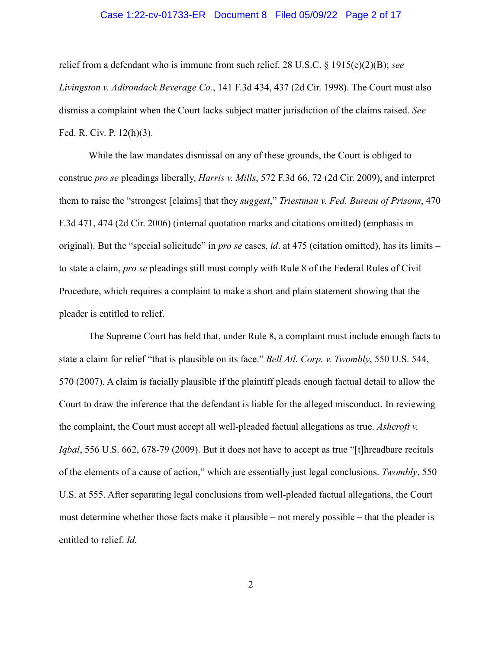#### Case 1:22-cv-01733-ER Document 8 Filed 05/09/22 Page 2 of 17

relief from a defendant who is immune from such relief. 28 U.S.C. § 1915(e)(2)(B); *see Livingston v. Adirondack Beverage Co.*, 141 F.3d 434, 437 (2d Cir. 1998). The Court must also dismiss a complaint when the Court lacks subject matter jurisdiction of the claims raised. *See* Fed. R. Civ. P. 12(h)(3).

While the law mandates dismissal on any of these grounds, the Court is obliged to construe *pro se* pleadings liberally, *Harris v. Mills*, 572 F.3d 66, 72 (2d Cir. 2009), and interpret them to raise the "strongest [claims] that they *suggest*," *Triestman v. Fed. Bureau of Prisons*, 470 F.3d 471, 474 (2d Cir. 2006) (internal quotation marks and citations omitted) (emphasis in original). But the "special solicitude" in *pro se* cases, *id*. at 475 (citation omitted), has its limits – to state a claim, *pro se* pleadings still must comply with Rule 8 of the Federal Rules of Civil Procedure, which requires a complaint to make a short and plain statement showing that the pleader is entitled to relief.

The Supreme Court has held that, under Rule 8, a complaint must include enough facts to state a claim for relief "that is plausible on its face." *Bell Atl. Corp. v. Twombly*, 550 U.S. 544, 570 (2007). A claim is facially plausible if the plaintiff pleads enough factual detail to allow the Court to draw the inference that the defendant is liable for the alleged misconduct. In reviewing the complaint, the Court must accept all well-pleaded factual allegations as true. *Ashcroft v. Iqbal*, 556 U.S. 662, 678-79 (2009). But it does not have to accept as true "[t]hreadbare recitals of the elements of a cause of action," which are essentially just legal conclusions. *Twombly*, 550 U.S. at 555. After separating legal conclusions from well-pleaded factual allegations, the Court must determine whether those facts make it plausible – not merely possible – that the pleader is entitled to relief. *Id.*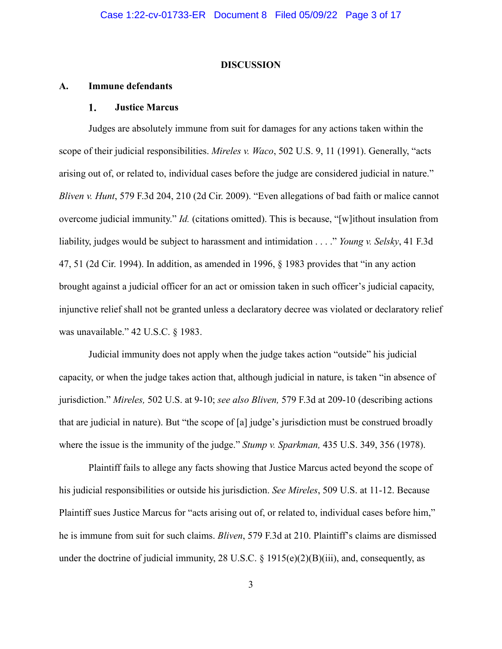#### **DISCUSSION**

#### **A. Immune defendants**

#### 1. **Justice Marcus**

Judges are absolutely immune from suit for damages for any actions taken within the scope of their judicial responsibilities. *Mireles v. Waco*, 502 U.S. 9, 11 (1991). Generally, "acts arising out of, or related to, individual cases before the judge are considered judicial in nature." *Bliven v. Hunt*, 579 F.3d 204, 210 (2d Cir. 2009). "Even allegations of bad faith or malice cannot overcome judicial immunity." *Id.* (citations omitted). This is because, "[w]ithout insulation from liability, judges would be subject to harassment and intimidation . . . ." *Young v. Selsky*, 41 F.3d 47, 51 (2d Cir. 1994). In addition, as amended in 1996, § 1983 provides that "in any action brought against a judicial officer for an act or omission taken in such officer's judicial capacity, injunctive relief shall not be granted unless a declaratory decree was violated or declaratory relief was unavailable." 42 U.S.C. § 1983.

Judicial immunity does not apply when the judge takes action "outside" his judicial capacity, or when the judge takes action that, although judicial in nature, is taken "in absence of jurisdiction." *Mireles,* 502 U.S. at 9-10; *see also Bliven,* 579 F.3d at 209-10 (describing actions that are judicial in nature). But "the scope of [a] judge's jurisdiction must be construed broadly where the issue is the immunity of the judge." *Stump v. Sparkman,* 435 U.S. 349, 356 (1978).

Plaintiff fails to allege any facts showing that Justice Marcus acted beyond the scope of his judicial responsibilities or outside his jurisdiction. *See Mireles*, 509 U.S. at 11-12. Because Plaintiff sues Justice Marcus for "acts arising out of, or related to, individual cases before him," he is immune from suit for such claims. *Bliven*, 579 F.3d at 210. Plaintiff's claims are dismissed under the doctrine of judicial immunity, 28 U.S.C.  $\S$  1915(e)(2)(B)(iii), and, consequently, as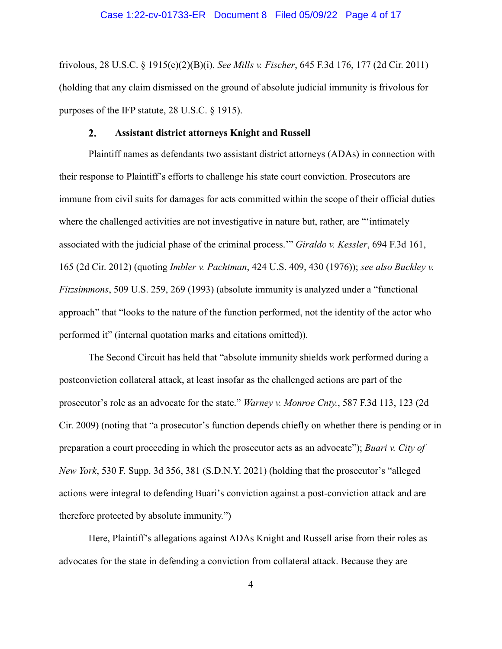#### Case 1:22-cv-01733-ER Document 8 Filed 05/09/22 Page 4 of 17

frivolous, 28 U.S.C. § 1915(e)(2)(B)(i). *See Mills v. Fischer*, 645 F.3d 176, 177 (2d Cir. 2011) (holding that any claim dismissed on the ground of absolute judicial immunity is frivolous for purposes of the IFP statute, 28 U.S.C. § 1915).

#### $2.$ **Assistant district attorneys Knight and Russell**

Plaintiff names as defendants two assistant district attorneys (ADAs) in connection with their response to Plaintiff's efforts to challenge his state court conviction. Prosecutors are immune from civil suits for damages for acts committed within the scope of their official duties where the challenged activities are not investigative in nature but, rather, are "'intimately associated with the judicial phase of the criminal process.'" *Giraldo v. Kessler*, 694 F.3d 161, 165 (2d Cir. 2012) (quoting *Imbler v. Pachtman*, 424 U.S. 409, 430 (1976)); *see also Buckley v. Fitzsimmons*, 509 U.S. 259, 269 (1993) (absolute immunity is analyzed under a "functional approach" that "looks to the nature of the function performed, not the identity of the actor who performed it" (internal quotation marks and citations omitted)).

The Second Circuit has held that "absolute immunity shields work performed during a postconviction collateral attack, at least insofar as the challenged actions are part of the prosecutor's role as an advocate for the state." *Warney v. Monroe Cnty.*, 587 F.3d 113, 123 (2d Cir. 2009) (noting that "a prosecutor's function depends chiefly on whether there is pending or in preparation a court proceeding in which the prosecutor acts as an advocate"); *Buari v. City of New York*, 530 F. Supp. 3d 356, 381 (S.D.N.Y. 2021) (holding that the prosecutor's "alleged actions were integral to defending Buari's conviction against a post-conviction attack and are therefore protected by absolute immunity.")

Here, Plaintiff's allegations against ADAs Knight and Russell arise from their roles as advocates for the state in defending a conviction from collateral attack. Because they are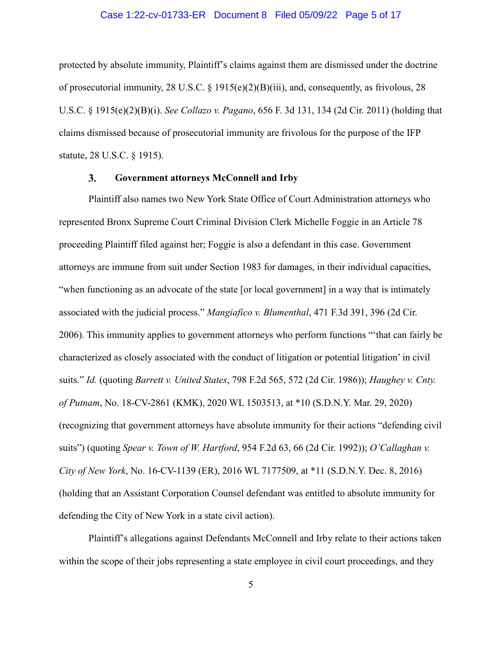#### Case 1:22-cv-01733-ER Document 8 Filed 05/09/22 Page 5 of 17

protected by absolute immunity, Plaintiff's claims against them are dismissed under the doctrine of prosecutorial immunity, 28 U.S.C. § 1915(e)(2)(B)(iii), and, consequently, as frivolous, 28 U.S.C. § 1915(e)(2)(B)(i). *See Collazo v. Pagano*, 656 F. 3d 131, 134 (2d Cir. 2011) (holding that claims dismissed because of prosecutorial immunity are frivolous for the purpose of the IFP statute, 28 U.S.C. § 1915).

#### $3.$ **Government attorneys McConnell and Irby**

Plaintiff also names two New York State Office of Court Administration attorneys who represented Bronx Supreme Court Criminal Division Clerk Michelle Foggie in an Article 78 proceeding Plaintiff filed against her; Foggie is also a defendant in this case. Government attorneys are immune from suit under Section 1983 for damages, in their individual capacities, "when functioning as an advocate of the state [or local government] in a way that is intimately associated with the judicial process." *Mangiafico v. Blumenthal*, 471 F.3d 391, 396 (2d Cir. 2006). This immunity applies to government attorneys who perform functions "'that can fairly be characterized as closely associated with the conduct of litigation or potential litigation' in civil suits." *Id.* (quoting *Barrett v. United States*, 798 F.2d 565, 572 (2d Cir. 1986)); *Haughey v. Cnty. of Putnam*, No. 18-CV-2861 (KMK), 2020 WL 1503513, at \*10 (S.D.N.Y. Mar. 29, 2020) (recognizing that government attorneys have absolute immunity for their actions "defending civil suits") (quoting *Spear v. Town of W. Hartford*, 954 F.2d 63, 66 (2d Cir. 1992)); *O'Callaghan v. City of New York*, No. 16-CV-1139 (ER), 2016 WL 7177509, at \*11 (S.D.N.Y. Dec. 8, 2016) (holding that an Assistant Corporation Counsel defendant was entitled to absolute immunity for defending the City of New York in a state civil action).

Plaintiff's allegations against Defendants McConnell and Irby relate to their actions taken within the scope of their jobs representing a state employee in civil court proceedings, and they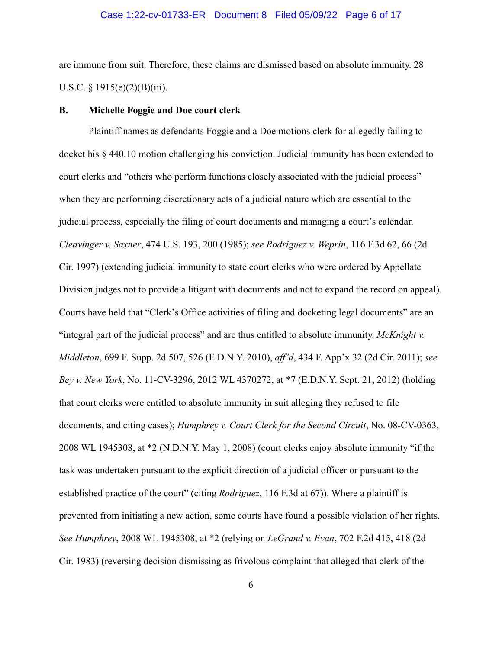### Case 1:22-cv-01733-ER Document 8 Filed 05/09/22 Page 6 of 17

are immune from suit. Therefore, these claims are dismissed based on absolute immunity. 28 U.S.C.  $\S 1915(e)(2)(B)(iii)$ .

### **B. Michelle Foggie and Doe court clerk**

Plaintiff names as defendants Foggie and a Doe motions clerk for allegedly failing to docket his § 440.10 motion challenging his conviction. Judicial immunity has been extended to court clerks and "others who perform functions closely associated with the judicial process" when they are performing discretionary acts of a judicial nature which are essential to the judicial process, especially the filing of court documents and managing a court's calendar. *Cleavinger v. Saxner*, 474 U.S. 193, 200 (1985); *see Rodriguez v. Weprin*, 116 F.3d 62, 66 (2d Cir. 1997) (extending judicial immunity to state court clerks who were ordered by Appellate Division judges not to provide a litigant with documents and not to expand the record on appeal). Courts have held that "Clerk's Office activities of filing and docketing legal documents" are an "integral part of the judicial process" and are thus entitled to absolute immunity. *McKnight v. Middleton*, 699 F. Supp. 2d 507, 526 (E.D.N.Y. 2010), *aff'd*, 434 F. App'x 32 (2d Cir. 2011); *see Bey v. New York*, No. 11-CV-3296, 2012 WL 4370272, at \*7 (E.D.N.Y. Sept. 21, 2012) (holding that court clerks were entitled to absolute immunity in suit alleging they refused to file documents, and citing cases); *Humphrey v. Court Clerk for the Second Circuit*, No. 08-CV-0363, 2008 WL 1945308, at \*2 (N.D.N.Y. May 1, 2008) (court clerks enjoy absolute immunity "if the task was undertaken pursuant to the explicit direction of a judicial officer or pursuant to the established practice of the court" (citing *Rodriguez*, 116 F.3d at 67)). Where a plaintiff is prevented from initiating a new action, some courts have found a possible violation of her rights. *See Humphrey*, 2008 WL 1945308, at \*2 (relying on *LeGrand v. Evan*, 702 F.2d 415, 418 (2d Cir. 1983) (reversing decision dismissing as frivolous complaint that alleged that clerk of the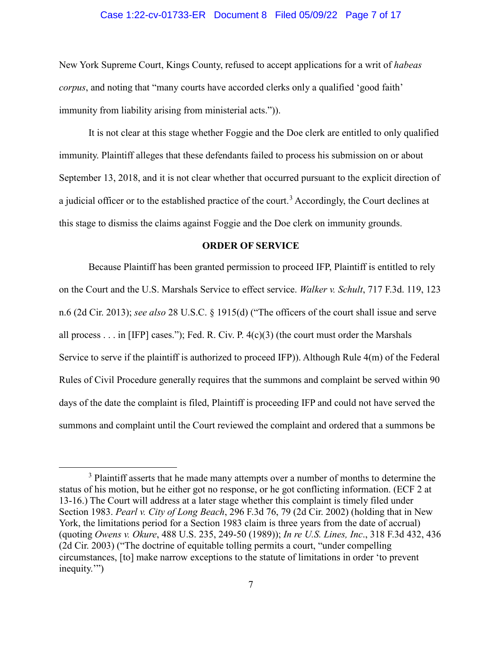### Case 1:22-cv-01733-ER Document 8 Filed 05/09/22 Page 7 of 17

New York Supreme Court, Kings County, refused to accept applications for a writ of *habeas corpus*, and noting that "many courts have accorded clerks only a qualified 'good faith' immunity from liability arising from ministerial acts.")).

It is not clear at this stage whether Foggie and the Doe clerk are entitled to only qualified immunity. Plaintiff alleges that these defendants failed to process his submission on or about September 13, 2018, and it is not clear whether that occurred pursuant to the explicit direction of a judicial officer or to the established practice of the court.<sup>3</sup> Accordingly, the Court declines at this stage to dismiss the claims against Foggie and the Doe clerk on immunity grounds.

#### **ORDER OF SERVICE**

Because Plaintiff has been granted permission to proceed IFP, Plaintiff is entitled to rely on the Court and the U.S. Marshals Service to effect service. *Walker v. Schult*, 717 F.3d. 119, 123 n.6 (2d Cir. 2013); *see also* 28 U.S.C. § 1915(d) ("The officers of the court shall issue and serve all process  $\dots$  in [IFP] cases."); Fed. R. Civ. P. 4(c)(3) (the court must order the Marshals Service to serve if the plaintiff is authorized to proceed IFP)). Although Rule 4(m) of the Federal Rules of Civil Procedure generally requires that the summons and complaint be served within 90 days of the date the complaint is filed, Plaintiff is proceeding IFP and could not have served the summons and complaint until the Court reviewed the complaint and ordered that a summons be

-

<sup>&</sup>lt;sup>3</sup> Plaintiff asserts that he made many attempts over a number of months to determine the status of his motion, but he either got no response, or he got conflicting information. (ECF 2 at 13-16.) The Court will address at a later stage whether this complaint is timely filed under Section 1983. *Pearl v. City of Long Beach*, 296 F.3d 76, 79 (2d Cir. 2002) (holding that in New York, the limitations period for a Section 1983 claim is three years from the date of accrual) (quoting *Owens v. Okure*, 488 U.S. 235, 249-50 (1989)); *In re U.S. Lines, Inc*., 318 F.3d 432, 436 (2d Cir. 2003) ("The doctrine of equitable tolling permits a court, "under compelling circumstances, [to] make narrow exceptions to the statute of limitations in order 'to prevent inequity.")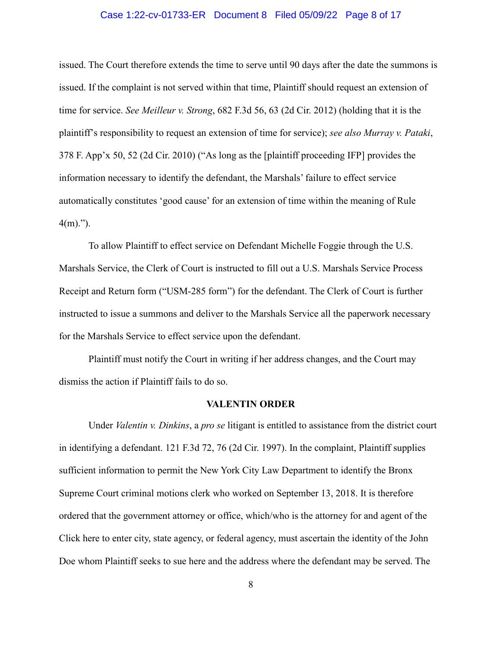### Case 1:22-cv-01733-ER Document 8 Filed 05/09/22 Page 8 of 17

issued. The Court therefore extends the time to serve until 90 days after the date the summons is issued. If the complaint is not served within that time, Plaintiff should request an extension of time for service. *See Meilleur v. Strong*, 682 F.3d 56, 63 (2d Cir. 2012) (holding that it is the plaintiff's responsibility to request an extension of time for service); *see also Murray v. Pataki*, 378 F. App'x 50, 52 (2d Cir. 2010) ("As long as the [plaintiff proceeding IFP] provides the information necessary to identify the defendant, the Marshals' failure to effect service automatically constitutes 'good cause' for an extension of time within the meaning of Rule  $4(m)$ .").

To allow Plaintiff to effect service on Defendant Michelle Foggie through the U.S. Marshals Service, the Clerk of Court is instructed to fill out a U.S. Marshals Service Process Receipt and Return form ("USM-285 form") for the defendant. The Clerk of Court is further instructed to issue a summons and deliver to the Marshals Service all the paperwork necessary for the Marshals Service to effect service upon the defendant.

Plaintiff must notify the Court in writing if her address changes, and the Court may dismiss the action if Plaintiff fails to do so.

#### **VALENTIN ORDER**

Under *Valentin v. Dinkins*, a *pro se* litigant is entitled to assistance from the district court in identifying a defendant. 121 F.3d 72, 76 (2d Cir. 1997). In the complaint, Plaintiff supplies sufficient information to permit the New York City Law Department to identify the Bronx Supreme Court criminal motions clerk who worked on September 13, 2018. It is therefore ordered that the government attorney or office, which/who is the attorney for and agent of the Click here to enter city, state agency, or federal agency, must ascertain the identity of the John Doe whom Plaintiff seeks to sue here and the address where the defendant may be served. The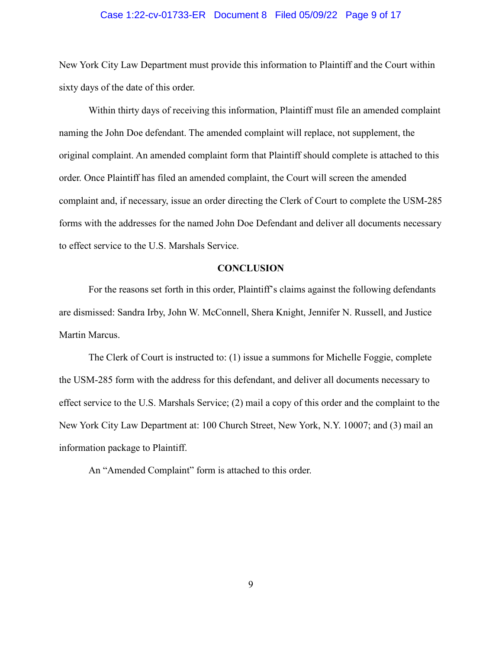### Case 1:22-cv-01733-ER Document 8 Filed 05/09/22 Page 9 of 17

New York City Law Department must provide this information to Plaintiff and the Court within sixty days of the date of this order.

Within thirty days of receiving this information, Plaintiff must file an amended complaint naming the John Doe defendant. The amended complaint will replace, not supplement, the original complaint. An amended complaint form that Plaintiff should complete is attached to this order. Once Plaintiff has filed an amended complaint, the Court will screen the amended complaint and, if necessary, issue an order directing the Clerk of Court to complete the USM-285 forms with the addresses for the named John Doe Defendant and deliver all documents necessary to effect service to the U.S. Marshals Service.

### **CONCLUSION**

For the reasons set forth in this order, Plaintiff's claims against the following defendants are dismissed: Sandra Irby, John W. McConnell, Shera Knight, Jennifer N. Russell, and Justice Martin Marcus.

The Clerk of Court is instructed to: (1) issue a summons for Michelle Foggie, complete the USM-285 form with the address for this defendant, and deliver all documents necessary to effect service to the U.S. Marshals Service; (2) mail a copy of this order and the complaint to the New York City Law Department at: 100 Church Street, New York, N.Y. 10007; and (3) mail an information package to Plaintiff.

An "Amended Complaint" form is attached to this order.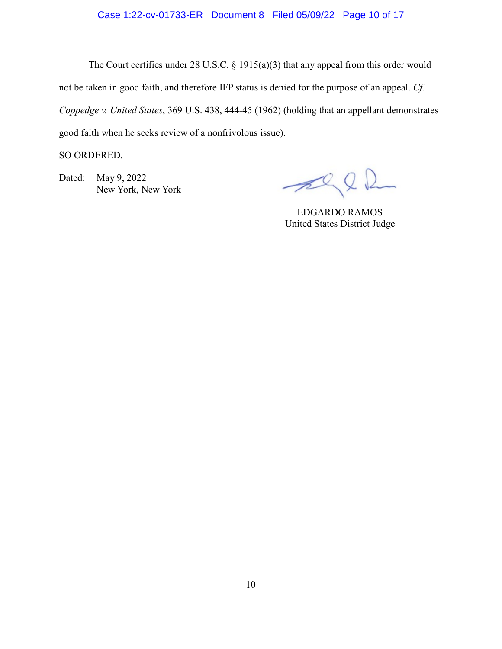### Case 1:22-cv-01733-ER Document 8 Filed 05/09/22 Page 10 of 17

The Court certifies under 28 U.S.C. § 1915(a)(3) that any appeal from this order would not be taken in good faith, and therefore IFP status is denied for the purpose of an appeal. *Cf. Coppedge v. United States*, 369 U.S. 438, 444-45 (1962) (holding that an appellant demonstrates good faith when he seeks review of a nonfrivolous issue).

SO ORDERED.

Dated: May 9, 2022 New York, New York

 $\mathscr{P}$ 

EDGARDO RAMOS United States District Judge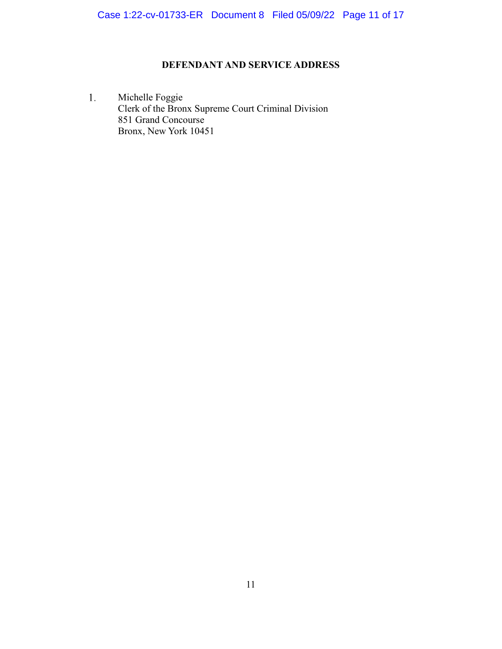### **DEFENDANT AND SERVICE ADDRESS**

 $1.$ Michelle Foggie Clerk of the Bronx Supreme Court Criminal Division 851 Grand Concourse Bronx, New York 10451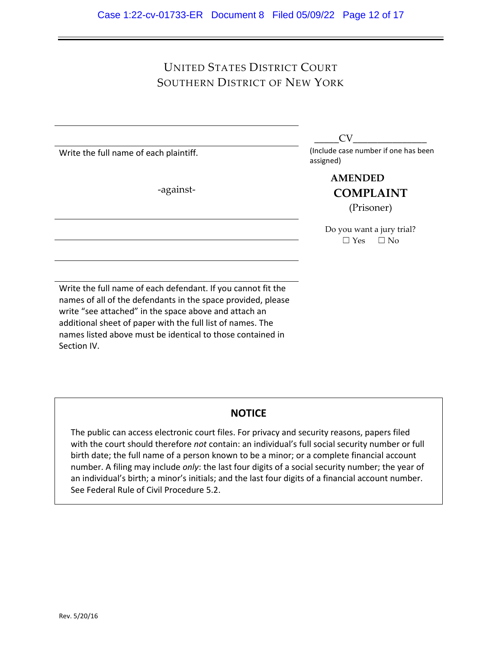# UNITED STATES DISTRICT COURT SOUTHERN DISTRICT OF NEW YORK

Write the full name of each plaintiff.

-against-

 $CV$ 

(Include case number if one has been assigned)

> **COMPLAINT** (Prisoner) **AMENDED**

Do you want a jury trial?  $\Box$  Yes  $\Box$  No

Write the full name of each defendant. If you cannot fit the names of all of the defendants in the space provided, please write "see attached" in the space above and attach an additional sheet of paper with the full list of names. The names listed above must be identical to those contained in Section IV.

## **NOTICE**

The public can access electronic court files. For privacy and security reasons, papers filed with the court should therefore *not* contain: an individual's full social security number or full birth date; the full name of a person known to be a minor; or a complete financial account number. A filing may include *only*: the last four digits of a social security number; the year of an individual's birth; a minor's initials; and the last four digits of a financial account number. See Federal Rule of Civil Procedure 5.2.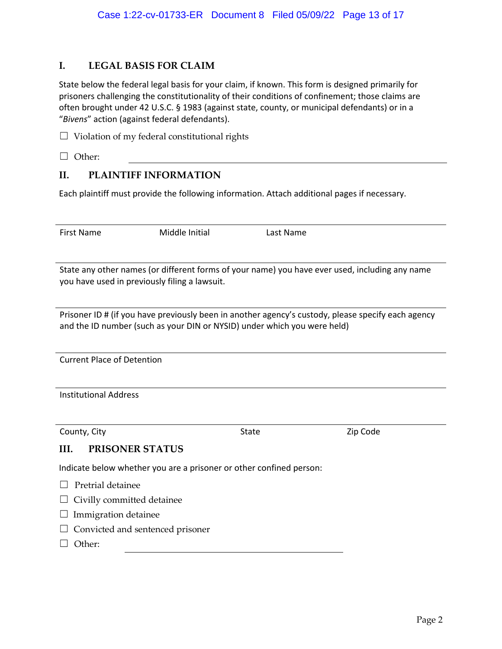### **I. LEGAL BASIS FOR CLAIM**

State below the federal legal basis for your claim, if known. This form is designed primarily for prisoners challenging the constitutionality of their conditions of confinement; those claims are often brought under 42 U.S.C. § 1983 (against state, county, or municipal defendants) or in a "*Bivens*" action (against federal defendants).

- $\Box$  Violation of my federal constitutional rights
- ☐ Other:

### **II. PLAINTIFF INFORMATION**

Each plaintiff must provide the following information. Attach additional pages if necessary.

| <b>First Name</b>                                                                                                                                                              | Middle Initial | Last Name    |          |  |  |  |
|--------------------------------------------------------------------------------------------------------------------------------------------------------------------------------|----------------|--------------|----------|--|--|--|
|                                                                                                                                                                                |                |              |          |  |  |  |
| State any other names (or different forms of your name) you have ever used, including any name<br>you have used in previously filing a lawsuit.                                |                |              |          |  |  |  |
| Prisoner ID # (if you have previously been in another agency's custody, please specify each agency<br>and the ID number (such as your DIN or NYSID) under which you were held) |                |              |          |  |  |  |
| <b>Current Place of Detention</b>                                                                                                                                              |                |              |          |  |  |  |
| <b>Institutional Address</b>                                                                                                                                                   |                |              |          |  |  |  |
| County, City                                                                                                                                                                   |                | <b>State</b> | Zip Code |  |  |  |
| <b>PRISONER STATUS</b><br>III.                                                                                                                                                 |                |              |          |  |  |  |
| Indicate below whether you are a prisoner or other confined person:                                                                                                            |                |              |          |  |  |  |
| Pretrial detainee                                                                                                                                                              |                |              |          |  |  |  |
| Civilly committed detainee                                                                                                                                                     |                |              |          |  |  |  |
| Immigration detainee                                                                                                                                                           |                |              |          |  |  |  |
| Convicted and sentenced prisoner                                                                                                                                               |                |              |          |  |  |  |
| Other:                                                                                                                                                                         |                |              |          |  |  |  |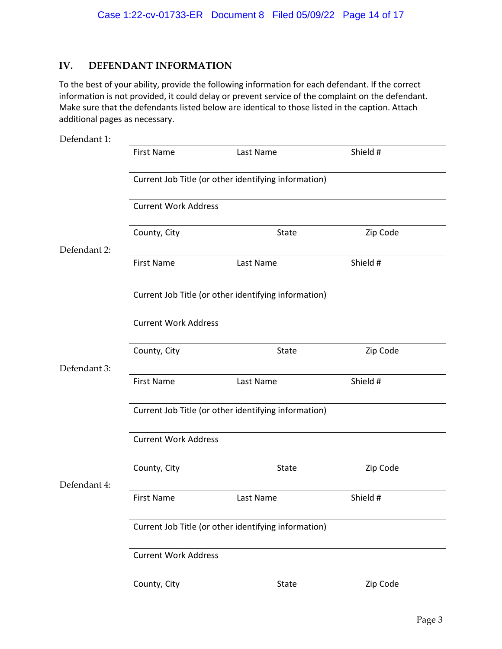## **IV. DEFENDANT INFORMATION**

To the best of your ability, provide the following information for each defendant. If the correct information is not provided, it could delay or prevent service of the complaint on the defendant. Make sure that the defendants listed below are identical to those listed in the caption. Attach additional pages as necessary.

| Defendant 1: |                                                                                     |           |          |  |  |  |
|--------------|-------------------------------------------------------------------------------------|-----------|----------|--|--|--|
|              | <b>First Name</b>                                                                   | Last Name | Shield # |  |  |  |
|              | Current Job Title (or other identifying information)                                |           |          |  |  |  |
|              | <b>Current Work Address</b>                                                         |           |          |  |  |  |
|              | County, City                                                                        | State     | Zip Code |  |  |  |
| Defendant 2: | <b>First Name</b>                                                                   | Last Name | Shield # |  |  |  |
|              | Current Job Title (or other identifying information)                                |           |          |  |  |  |
|              | <b>Current Work Address</b>                                                         |           |          |  |  |  |
|              | County, City                                                                        | State     | Zip Code |  |  |  |
| Defendant 3: |                                                                                     |           |          |  |  |  |
|              | <b>First Name</b>                                                                   | Last Name | Shield # |  |  |  |
|              | Current Job Title (or other identifying information)<br><b>Current Work Address</b> |           |          |  |  |  |
|              |                                                                                     |           |          |  |  |  |
|              | County, City                                                                        | State     | Zip Code |  |  |  |
| Defendant 4: | <b>First Name</b>                                                                   | Last Name | Shield # |  |  |  |
|              | Current Job Title (or other identifying information)                                |           |          |  |  |  |
|              | <b>Current Work Address</b>                                                         |           |          |  |  |  |
|              | County, City                                                                        | State     | Zip Code |  |  |  |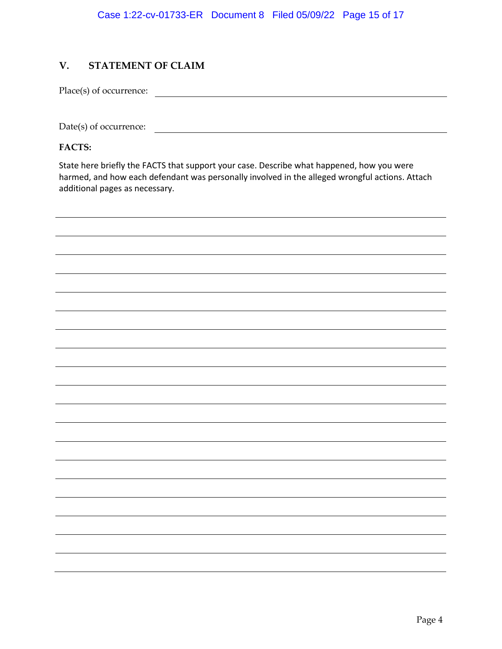## **V. STATEMENT OF CLAIM**

Place(s) of occurrence:

Date(s) of occurrence:

**FACTS:** 

State here briefly the FACTS that support your case. Describe what happened, how you were harmed, and how each defendant was personally involved in the alleged wrongful actions. Attach additional pages as necessary.

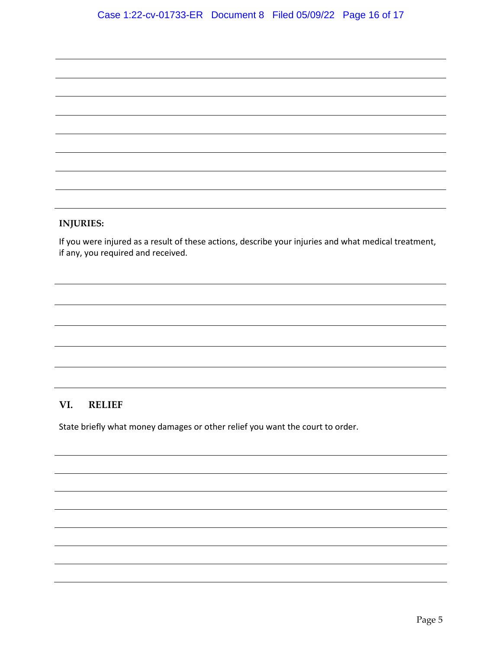### **INJURIES:**

If you were injured as a result of these actions, describe your injuries and what medical treatment, if any, you required and received.

### **VI. RELIEF**

State briefly what money damages or other relief you want the court to order.